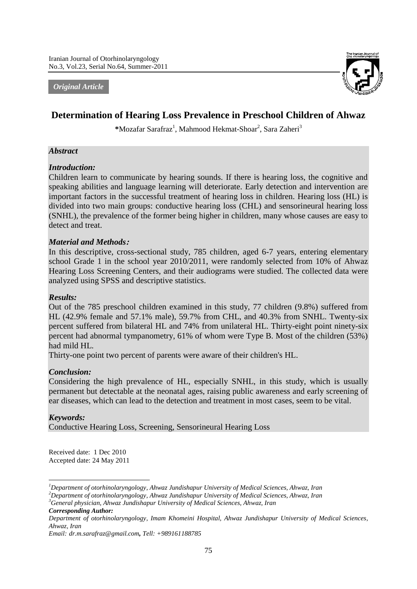*Original Article*



# **Determination of Hearing Loss Prevalence in Preschool Children of Ahwaz**

\*Mozafar Sarafraz<sup>1</sup>, Mahmood Hekmat-Shoar<sup>2</sup>, Sara Zaheri<sup>3</sup>

## *Abstract*

### *Introduction:*

Children learn to communicate by hearing sounds. If there is hearing loss, the cognitive and speaking abilities and language learning will deteriorate. Early detection and intervention are important factors in the successful treatment of hearing loss in children. Hearing loss (HL) is divided into two main groups: conductive hearing loss (CHL) and sensorineural hearing loss (SNHL), the prevalence of the former being higher in children, many whose causes are easy to detect and treat.

### *Material and Methods***:**

In this descriptive, cross-sectional study, 785 children, aged 6-7 years, entering elementary school Grade 1 in the school year 2010/2011, were randomly selected from 10% of Ahwaz Hearing Loss Screening Centers, and their audiograms were studied. The collected data were analyzed using SPSS and descriptive statistics.

#### *Results:*

Out of the 785 preschool children examined in this study, 77 children (9.8%) suffered from HL (42.9% female and 57.1% male), 59.7% from CHL, and 40.3% from SNHL. Twenty-six percent suffered from bilateral HL and 74% from unilateral HL. Thirty-eight point ninety-six percent had abnormal tympanometry, 61% of whom were Type B. Most of the children (53%) had mild HL.

Thirty-one point two percent of parents were aware of their children's HL.

#### *Conclusion:*

Considering the high prevalence of HL, especially SNHL, in this study, which is usually permanent but detectable at the neonatal ages, raising public awareness and early screening of ear diseases, which can lead to the detection and treatment in most cases, seem to be vital.

### *Keywords:*

Conductive Hearing Loss, Screening, Sensorineural Hearing Loss

Received date: 1 Dec 2010 Accepted date: 24 May 2011

*<sup>3</sup>General physician, Ahwaz Jundishapur University of Medical Sciences, Ahwaz, Iran Corresponding Author:*

<sup>1</sup> *<sup>1</sup>Department of otorhinolaryngology, Ahwaz Jundishapur University of Medical Sciences, Ahwaz, Iran*

*<sup>2</sup>Department of otorhinolaryngology, Ahwaz Jundishapur University of Medical Sciences, Ahwaz, Iran*

*Department of otorhinolaryngology, Imam Khomeini Hospital, Ahwaz Jundishapur University of Medical Sciences, Ahwaz, Iran*

*Email: dr.m.sarafraz@gmail.com, Tell: +989161188785*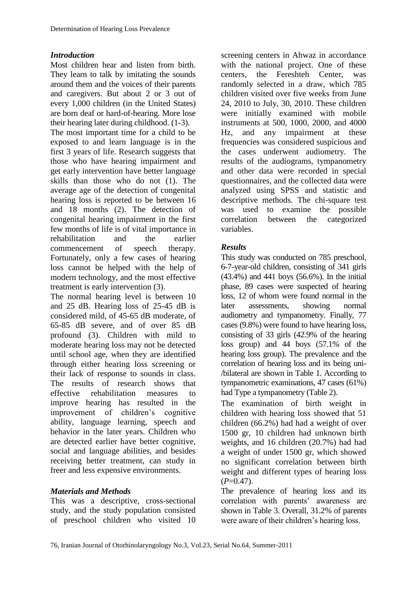# *Introduction*

Most children hear and listen from birth. They learn to talk by imitating the sounds around them and the voices of their parents and caregivers. But about 2 or 3 out of every 1,000 children (in the United States) are born deaf or hard-of-hearing. More lose their hearing later during childhood. (1-3).

The most important time for a child to be exposed to and learn language is in the first 3 years of life. Research suggests that those who have hearing impairment and get early intervention have better language skills than those who do not (1). The average age of the detection of congenital hearing loss is reported to be between 16 and 18 months (2). The detection of congenital hearing impairment in the first few months of life is of vital importance in rehabilitation and the earlier commencement of speech therapy. Fortunately, only a few cases of hearing loss cannot be helped with the help of modern technology, and the most effective treatment is early intervention (3).

The normal hearing level is between 10 and 25 dB. Hearing loss of 25-45 dB is considered mild, of 45-65 dB moderate, of 65-85 dB severe, and of over 85 dB profound (3). Children with mild to moderate hearing loss may not be detected until school age, when they are identified through either hearing loss screening or their lack of response to sounds in class. The results of research shows that effective rehabilitation measures to improve hearing has resulted in the improvement of children's cognitive ability, language learning, speech and behavior in the later years. Children who are detected earlier have better cognitive, social and language abilities, and besides receiving better treatment, can study in freer and less expensive environments.

## *Materials and Methods*

This was a descriptive, cross-sectional study, and the study population consisted of preschool children who visited 10

screening centers in Ahwaz in accordance with the national project. One of these<br>centers, the Fereshteh Center, was centers, the Fereshteh Center, was randomly selected in a draw, which 785 children visited over five weeks from June 24, 2010 to July, 30, 2010. These children were initially examined with mobile instruments at 500, 1000, 2000, and 4000 Hz, and any impairment at these frequencies was considered suspicious and the cases underwent audiometry. The results of the audiograms, tympanometry and other data were recorded in special questionnaires, and the collected data were analyzed using SPSS and statistic and descriptive methods. The chi-square test was used to examine the possible<br>correlation between the categorized between the categorized variables.

# *Results*

This study was conducted on 785 preschool, 6-7-year-old children, consisting of 341 girls (43.4%) and 441 boys (56.6%). In the initial phase, 89 cases were suspected of hearing loss, 12 of whom were found normal in the later assessments, showing normal audiometry and tympanometry. Finally, 77 cases (9.8%) were found to have hearing loss, consisting of 33 girls (42.9% of the hearing loss group) and 44 boys (57.1% of the hearing loss group). The prevalence and the correlation of hearing loss and its being uni- /bilateral are shown in Table 1. According to tympanometric examinations, 47 cases (61%) had Type a tympanometry (Table 2).

The examination of birth weight in children with hearing loss showed that 51 children (66.2%) had had a weight of over 1500 gr, 10 children had unknown birth weights, and 16 children (20.7%) had had a weight of under 1500 gr, which showed no significant correlation between birth weight and different types of hearing loss  $(P=0.47)$ .

The prevalence of hearing loss and its correlation with parents' awareness are shown in Table 3. Overall, 31.2% of parents were aware of their children's hearing loss.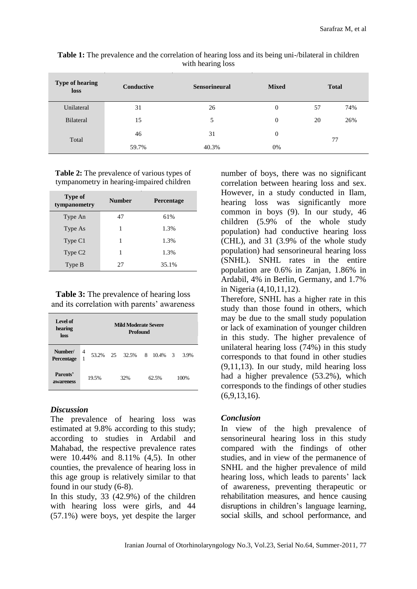| <b>Type of hearing</b><br>loss | Conductive | <b>Sensorineural</b> | <b>Mixed</b> |    | <b>Total</b> |  |  |
|--------------------------------|------------|----------------------|--------------|----|--------------|--|--|
| Unilateral                     | 31         | 26                   | 0            | 57 | 74%          |  |  |
| <b>Bilateral</b>               | 15         | 5                    | 0            | 20 | 26%          |  |  |
| Total                          | 46         | 31                   | 0            | 77 |              |  |  |
|                                | 59.7%      | 40.3%                | 0%           |    |              |  |  |

**Table 1:** The prevalence and the correlation of hearing loss and its being uni-/bilateral in children with hearing loss

**Table 2:** The prevalence of various types of tympanometry in hearing-impaired children

| Type of<br>tympanometry | <b>Number</b> | <b>Percentage</b> |  |  |
|-------------------------|---------------|-------------------|--|--|
| Type An                 | 47            | 61%               |  |  |
| Type As                 | 1             | 1.3%              |  |  |
| Type C1                 | 1             | 1.3%              |  |  |
| Type C <sub>2</sub>     | 1             | 1.3%              |  |  |
| Type B                  | 27            | 35.1%             |  |  |

**Table 3:** The prevalence of hearing loss and its correlation with parents' awareness

| Level of<br>hearing<br>loss | <b>Mild Moderate Severe</b><br><b>Profound</b> |  |     |                  |       |         |                         |      |
|-----------------------------|------------------------------------------------|--|-----|------------------|-------|---------|-------------------------|------|
| Number/<br>Percentage       | 4<br>1                                         |  |     | 53.2\% 25 32.5\% |       | 8 10.4% | $\overline{\mathbf{3}}$ | 3.9% |
| Parents'<br>awareness       | 19.5%                                          |  | 32% |                  | 62.5% |         | 100%                    |      |

## *Discussion*

The prevalence of hearing loss was estimated at 9.8% according to this study; according to studies in Ardabil and Mahabad, the respective prevalence rates were 10.44% and 8.11% (4,5). In other counties, the prevalence of hearing loss in this age group is relatively similar to that found in our study (6-8).

In this study, 33 (42.9%) of the children with hearing loss were girls, and 44 (57.1%) were boys, yet despite the larger

number of boys, there was no significant correlation between hearing loss and sex. However, in a study conducted in Ilam, hearing loss was significantly more common in boys (9). In our study, 46 children (5.9% of the whole study population) had conductive hearing loss (CHL), and 31 (3.9% of the whole study population) had sensorineural hearing loss (SNHL). SNHL rates in the entire population are 0.6% in Zanjan, 1.86% in Ardabil, 4% in Berlin, Germany, and 1.7% in Nigeria (4,10,11,12).

Therefore, SNHL has a higher rate in this study than those found in others, which may be due to the small study population or lack of examination of younger children in this study. The higher prevalence of unilateral hearing loss (74%) in this study corresponds to that found in other studies (9,11,13). In our study, mild hearing loss had a higher prevalence (53.2%), which corresponds to the findings of other studies  $(6,9,13,16).$ 

## *Conclusion*

In view of the high prevalence of sensorineural hearing loss in this study compared with the findings of other studies, and in view of the permanence of SNHL and the higher prevalence of mild hearing loss, which leads to parents' lack of awareness, preventing therapeutic or rehabilitation measures, and hence causing disruptions in children's language learning, social skills, and school performance, and